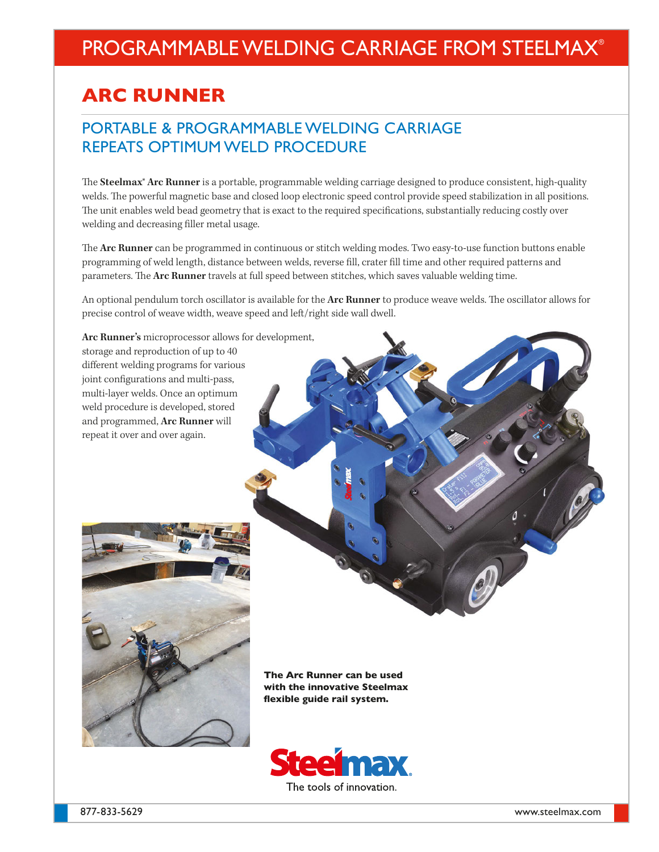### PROGRAMMABLE WELDING CARRIAGE FROM STEELMAX®

### **ARC RUNNER**

### PORTABLE & PROGRAMMABLE WELDING CARRIAGE REPEATS OPTIMUM WELD PROCEDURE

The **Steelmax® Arc Runner** is a portable, programmable welding carriage designed to produce consistent, high-quality welds. The powerful magnetic base and closed loop electronic speed control provide speed stabilization in all positions. The unit enables weld bead geometry that is exact to the required specifications, substantially reducing costly over welding and decreasing filler metal usage.

The **Arc Runner** can be programmed in continuous or stitch welding modes. Two easy-to-use function buttons enable programming of weld length, distance between welds, reverse fill, crater fill time and other required patterns and parameters. The **Arc Runner** travels at full speed between stitches, which saves valuable welding time.

An optional pendulum torch oscillator is available for the **Arc Runner** to produce weave welds. The oscillator allows for precise control of weave width, weave speed and left/right side wall dwell.



**The Arc Runner can be used with the innovative Steelmax flexible guide rail system.**

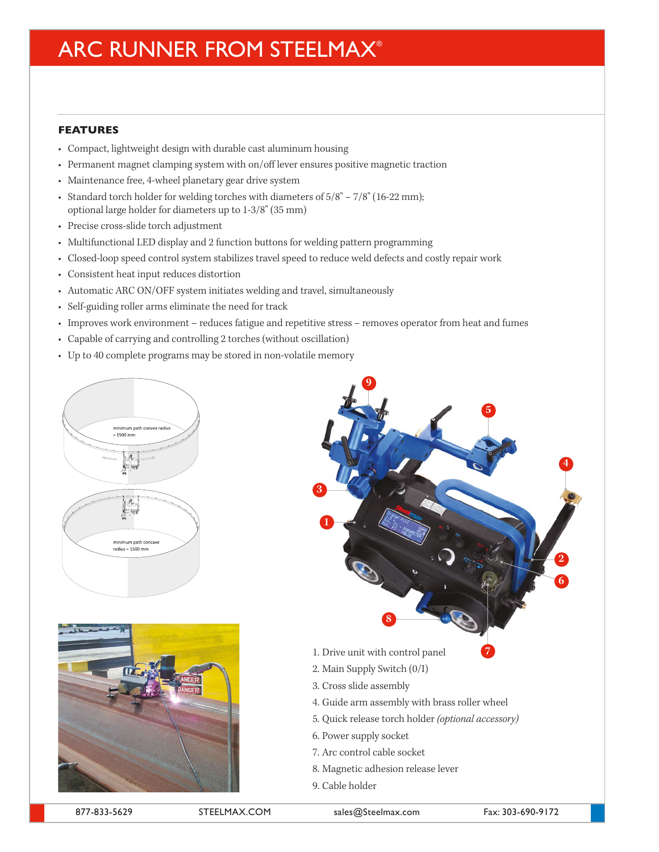# ARC RUNNER FROM STEELMAX®

#### **FEATURES**

- Compact, lightweight design with durable cast aluminum housing
- Permanent magnet clamping system with on/off lever ensures positive magnetic traction
- Maintenance free, 4-wheel planetary gear drive system
- Standard torch holder for welding torches with diameters of  $5/8" 7/8"$  (16-22 mm); optional large holder for diameters up to 1-3/8" (35 mm)
- Precise cross-slide torch adjustment
- Multifunctional LED display and 2 function buttons for welding pattern programming
- Closed-loop speed control system stabilizes travel speed to reduce weld defects and costly repair work
- Consistent heat input reduces distortion
- Automatic ARC ON/OFF system initiates welding and travel, simultaneously
- Self-guiding roller arms eliminate the need for track
- Improves work environment reduces fatigue and repetitive stress removes operator from heat and fumes
- Capable of carrying and controlling 2 torches (without oscillation)
- Up to 40 complete programs may be stored in non-volatile memory





877-833-5629 STEELMAX.COM sales@Steelmax.com Fax: 303-690-9172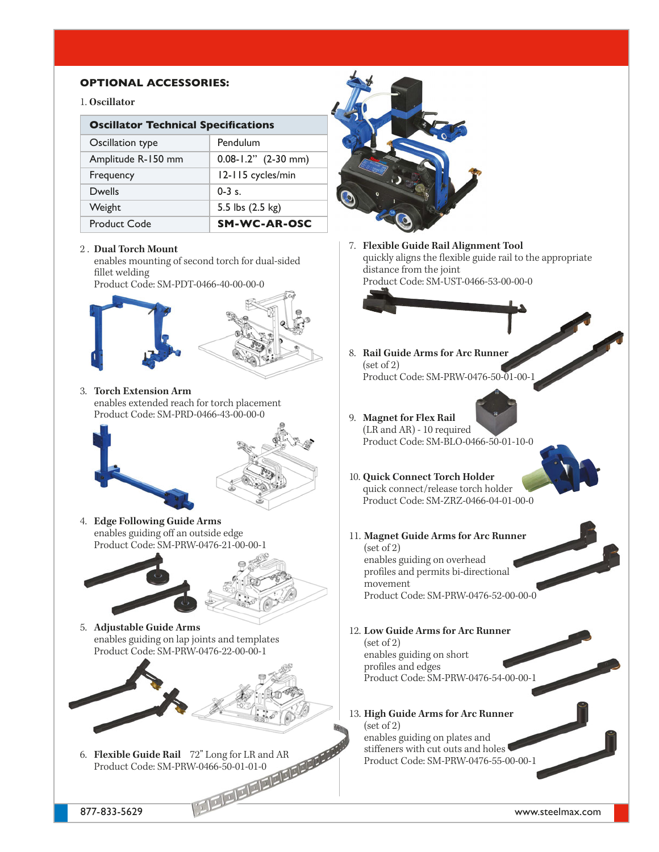#### **OPTIONAL ACCESSORIES:**

#### 1. **Oscillator**

| <b>Oscillator Technical Specifications</b> |                          |  |
|--------------------------------------------|--------------------------|--|
| Oscillation type                           | Pendulum                 |  |
| Amplitude R-150 mm                         | $0.08 - 1.2$ " (2-30 mm) |  |
| Frequency                                  | 12-115 cycles/min        |  |
| <b>Dwells</b>                              | $0 - 3$ s.               |  |
| Weight                                     | 5.5 lbs (2.5 kg)         |  |
| <b>Product Code</b>                        | SM-WC-AR-OSC             |  |

#### 2 . **Dual Torch Mount**

enables mounting of second torch for dual-sided fillet welding

Product Code: SM-PDT-0466-40-00-00-0



3. **Torch Extension Arm**  enables extended reach for torch placement Product Code: SM-PRD-0466-43-00-00-0





4. **Edge Following Guide Arms**  enables guiding off an outside edge Product Code: SM-PRW-0476-21-00-00-1



5. **Adjustable Guide Arms**  enables guiding on lap joints and templates Product Code: SM-PRW-0476-22-00-00-1



877-833-5629 www.steelmax.com 6. **Flexible Guide Rail** 72" Long for LR and AR Product Code: SM-PRW-0466-50-01-01-0



Product Code: SM-PRW-0476-55-00-00-1